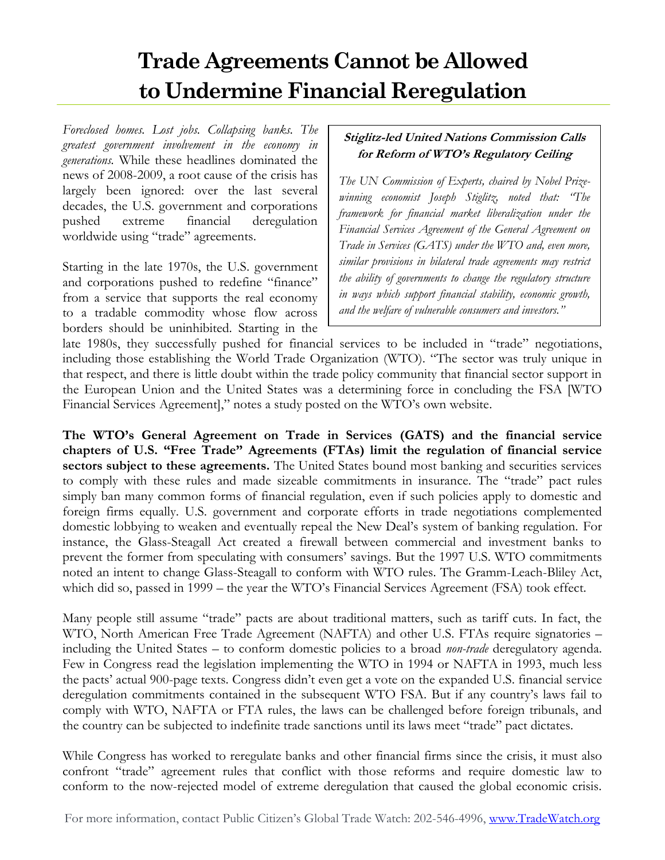# **Trade Agreements Cannot be Allowed to Undermine Financial Reregulation**

*Foreclosed homes. Lost jobs. Collapsing banks. The greatest government involvement in the economy in generations.* While these headlines dominated the news of 2008-2009, a root cause of the crisis has largely been ignored: over the last several decades, the U.S. government and corporations pushed extreme financial deregulation worldwide using "trade" agreements.

Starting in the late 1970s, the U.S. government and corporations pushed to redefine "finance" from a service that supports the real economy to a tradable commodity whose flow across borders should be uninhibited. Starting in the

### **Stiglitz-led United Nations Commission Calls for Reform of WTO's Regulatory Ceiling**

*The UN Commission of Experts, chaired by Nobel Prizewinning economist Joseph Stiglitz, noted that: "The framework for financial market liberalization under the Financial Services Agreement of the General Agreement on Trade in Services (GATS) under the WTO and, even more, similar provisions in bilateral trade agreements may restrict the ability of governments to change the regulatory structure in ways which support financial stability, economic growth, and the welfare of vulnerable consumers and investors."* 

late 1980s, they successfully pushed for financial services to be included in "trade" negotiations, including those establishing the World Trade Organization (WTO). "The sector was truly unique in that respect, and there is little doubt within the trade policy community that financial sector support in the European Union and the United States was a determining force in concluding the FSA [WTO Financial Services Agreement]," notes a study posted on the WTO's own website.

**The WTO's General Agreement on Trade in Services (GATS) and the financial service chapters of U.S. "Free Trade" Agreements (FTAs) limit the regulation of financial service sectors subject to these agreements.** The United States bound most banking and securities services to comply with these rules and made sizeable commitments in insurance. The "trade" pact rules simply ban many common forms of financial regulation, even if such policies apply to domestic and foreign firms equally. U.S. government and corporate efforts in trade negotiations complemented domestic lobbying to weaken and eventually repeal the New Deal's system of banking regulation. For instance, the Glass-Steagall Act created a firewall between commercial and investment banks to prevent the former from speculating with consumers' savings. But the 1997 U.S. WTO commitments noted an intent to change Glass-Steagall to conform with WTO rules. The Gramm-Leach-Bliley Act, which did so, passed in 1999 – the year the WTO's Financial Services Agreement (FSA) took effect.

Many people still assume "trade" pacts are about traditional matters, such as tariff cuts. In fact, the WTO, North American Free Trade Agreement (NAFTA) and other U.S. FTAs require signatories – including the United States – to conform domestic policies to a broad *non-trade* deregulatory agenda. Few in Congress read the legislation implementing the WTO in 1994 or NAFTA in 1993, much less the pacts' actual 900-page texts. Congress didn't even get a vote on the expanded U.S. financial service deregulation commitments contained in the subsequent WTO FSA. But if any country's laws fail to comply with WTO, NAFTA or FTA rules, the laws can be challenged before foreign tribunals, and the country can be subjected to indefinite trade sanctions until its laws meet "trade" pact dictates.

While Congress has worked to reregulate banks and other financial firms since the crisis, it must also confront "trade" agreement rules that conflict with those reforms and require domestic law to conform to the now-rejected model of extreme deregulation that caused the global economic crisis.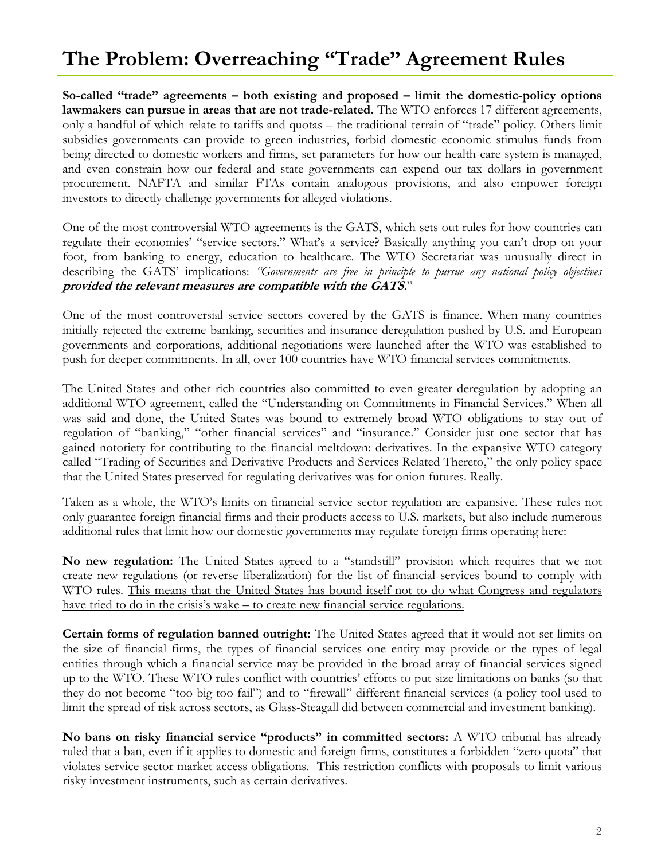# **The Problem: Overreaching "Trade" Agreement Rules**

**So-called "trade" agreements – both existing and proposed – limit the domestic-policy options lawmakers can pursue in areas that are not trade-related.** The WTO enforces 17 different agreements, only a handful of which relate to tariffs and quotas – the traditional terrain of "trade" policy. Others limit subsidies governments can provide to green industries, forbid domestic economic stimulus funds from being directed to domestic workers and firms, set parameters for how our health-care system is managed, and even constrain how our federal and state governments can expend our tax dollars in government procurement. NAFTA and similar FTAs contain analogous provisions, and also empower foreign investors to directly challenge governments for alleged violations.

One of the most controversial WTO agreements is the GATS, which sets out rules for how countries can regulate their economies' "service sectors." What's a service? Basically anything you can't drop on your foot, from banking to energy, education to healthcare. The WTO Secretariat was unusually direct in describing the GATS' implications: *"Governments are free in principle to pursue any national policy objectives*  **provided the relevant measures are compatible with the GATS**."

One of the most controversial service sectors covered by the GATS is finance. When many countries initially rejected the extreme banking, securities and insurance deregulation pushed by U.S. and European governments and corporations, additional negotiations were launched after the WTO was established to push for deeper commitments. In all, over 100 countries have WTO financial services commitments.

The United States and other rich countries also committed to even greater deregulation by adopting an additional WTO agreement, called the "Understanding on Commitments in Financial Services." When all was said and done, the United States was bound to extremely broad WTO obligations to stay out of regulation of "banking," "other financial services" and "insurance." Consider just one sector that has gained notoriety for contributing to the financial meltdown: derivatives. In the expansive WTO category called "Trading of Securities and Derivative Products and Services Related Thereto," the only policy space that the United States preserved for regulating derivatives was for onion futures. Really.

Taken as a whole, the WTO's limits on financial service sector regulation are expansive. These rules not only guarantee foreign financial firms and their products access to U.S. markets, but also include numerous additional rules that limit how our domestic governments may regulate foreign firms operating here:

**No new regulation:** The United States agreed to a "standstill" provision which requires that we not create new regulations (or reverse liberalization) for the list of financial services bound to comply with WTO rules. This means that the United States has bound itself not to do what Congress and regulators have tried to do in the crisis's wake – to create new financial service regulations.

**Certain forms of regulation banned outright:** The United States agreed that it would not set limits on the size of financial firms, the types of financial services one entity may provide or the types of legal entities through which a financial service may be provided in the broad array of financial services signed up to the WTO. These WTO rules conflict with countries' efforts to put size limitations on banks (so that they do not become "too big too fail") and to "firewall" different financial services (a policy tool used to limit the spread of risk across sectors, as Glass-Steagall did between commercial and investment banking).

**No bans on risky financial service "products" in committed sectors:** A WTO tribunal has already ruled that a ban, even if it applies to domestic and foreign firms, constitutes a forbidden "zero quota" that violates service sector market access obligations. This restriction conflicts with proposals to limit various risky investment instruments, such as certain derivatives.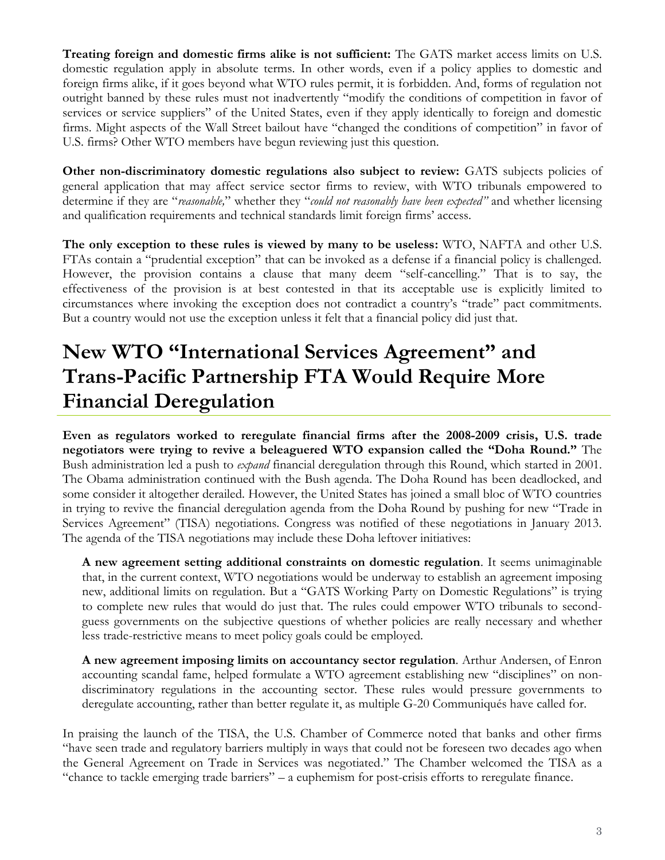**Treating foreign and domestic firms alike is not sufficient:** The GATS market access limits on U.S. domestic regulation apply in absolute terms. In other words, even if a policy applies to domestic and foreign firms alike, if it goes beyond what WTO rules permit, it is forbidden. And, forms of regulation not outright banned by these rules must not inadvertently "modify the conditions of competition in favor of services or service suppliers" of the United States, even if they apply identically to foreign and domestic firms. Might aspects of the Wall Street bailout have "changed the conditions of competition" in favor of U.S. firms? Other WTO members have begun reviewing just this question.

**Other non-discriminatory domestic regulations also subject to review:** GATS subjects policies of general application that may affect service sector firms to review, with WTO tribunals empowered to determine if they are "*reasonable,*" whether they "*could not reasonably have been expected"* and whether licensing and qualification requirements and technical standards limit foreign firms' access.

**The only exception to these rules is viewed by many to be useless:** WTO, NAFTA and other U.S. FTAs contain a "prudential exception" that can be invoked as a defense if a financial policy is challenged. However, the provision contains a clause that many deem "self-cancelling." That is to say, the effectiveness of the provision is at best contested in that its acceptable use is explicitly limited to circumstances where invoking the exception does not contradict a country's "trade" pact commitments. But a country would not use the exception unless it felt that a financial policy did just that.

## **New WTO "International Services Agreement" and Trans-Pacific Partnership FTA Would Require More Financial Deregulation**

**Even as regulators worked to reregulate financial firms after the 2008-2009 crisis, U.S. trade negotiators were trying to revive a beleaguered WTO expansion called the "Doha Round."** The Bush administration led a push to *expand* financial deregulation through this Round, which started in 2001. The Obama administration continued with the Bush agenda. The Doha Round has been deadlocked, and some consider it altogether derailed. However, the United States has joined a small bloc of WTO countries in trying to revive the financial deregulation agenda from the Doha Round by pushing for new "Trade in Services Agreement" (TISA) negotiations. Congress was notified of these negotiations in January 2013. The agenda of the TISA negotiations may include these Doha leftover initiatives:

**A new agreement setting additional constraints on domestic regulation**. It seems unimaginable that, in the current context, WTO negotiations would be underway to establish an agreement imposing new, additional limits on regulation. But a "GATS Working Party on Domestic Regulations" is trying to complete new rules that would do just that. The rules could empower WTO tribunals to secondguess governments on the subjective questions of whether policies are really necessary and whether less trade-restrictive means to meet policy goals could be employed.

**A new agreement imposing limits on accountancy sector regulation**. Arthur Andersen, of Enron accounting scandal fame, helped formulate a WTO agreement establishing new "disciplines" on nondiscriminatory regulations in the accounting sector. These rules would pressure governments to deregulate accounting, rather than better regulate it, as multiple G-20 Communiqués have called for.

In praising the launch of the TISA, the U.S. Chamber of Commerce noted that banks and other firms "have seen trade and regulatory barriers multiply in ways that could not be foreseen two decades ago when the General Agreement on Trade in Services was negotiated." The Chamber welcomed the TISA as a "chance to tackle emerging trade barriers" – a euphemism for post-crisis efforts to reregulate finance.